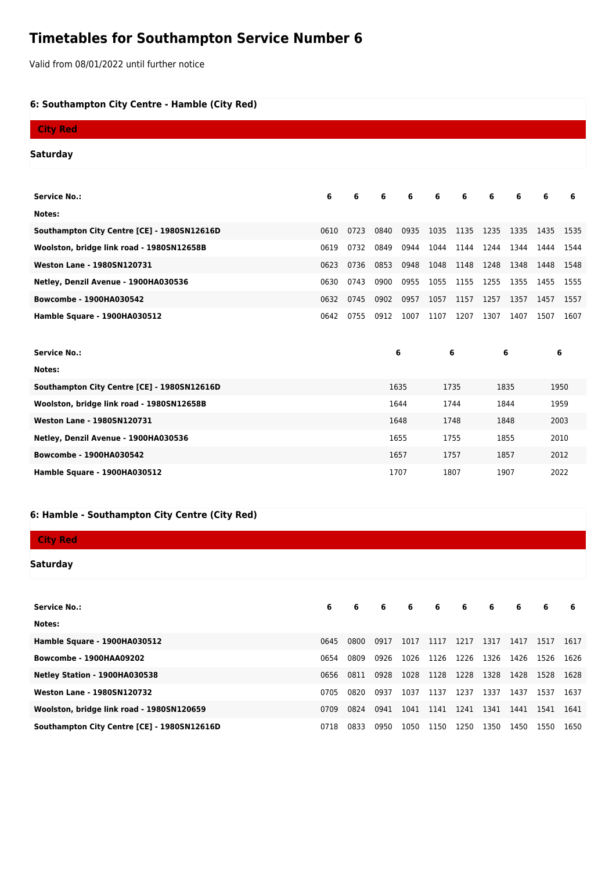# **Timetables for Southampton Service Number 6**

Valid from 08/01/2022 until further notice

## **6: Southampton City Centre - Hamble (City Red)**

| <b>City Red</b>                             |      |      |      |      |      |      |      |      |      |      |
|---------------------------------------------|------|------|------|------|------|------|------|------|------|------|
| Saturday                                    |      |      |      |      |      |      |      |      |      |      |
|                                             |      |      |      |      |      |      |      |      |      |      |
| <b>Service No.:</b>                         | 6    | 6    | 6    | 6    | 6    | 6    | 6    | 6    | 6    | 6    |
| Notes:                                      |      |      |      |      |      |      |      |      |      |      |
| Southampton City Centre [CE] - 1980SN12616D | 0610 | 0723 | 0840 | 0935 | 1035 | 1135 | 1235 | 1335 | 1435 | 1535 |
| Woolston, bridge link road - 1980SN12658B   | 0619 | 0732 | 0849 | 0944 | 1044 | 1144 | 1244 | 1344 | 1444 | 1544 |
| <b>Weston Lane - 1980SN120731</b>           | 0623 | 0736 | 0853 | 0948 | 1048 | 1148 | 1248 | 1348 | 1448 | 1548 |
| Netley, Denzil Avenue - 1900HA030536        | 0630 | 0743 | 0900 | 0955 | 1055 | 1155 | 1255 | 1355 | 1455 | 1555 |
| Bowcombe - 1900HA030542                     | 0632 | 0745 | 0902 | 0957 | 1057 | 1157 | 1257 | 1357 | 1457 | 1557 |
| Hamble Square - 1900HA030512                | 0642 | 0755 | 0912 | 1007 | 1107 | 1207 | 1307 | 1407 | 1507 | 1607 |
|                                             |      |      |      |      |      |      |      |      |      |      |
| <b>Service No.:</b>                         |      |      | 6    |      | 6    |      | 6    |      | 6    |      |
| Notes:                                      |      |      |      |      |      |      |      |      |      |      |
| Southampton City Centre [CE] - 1980SN12616D |      |      | 1635 |      | 1735 |      | 1835 |      | 1950 |      |
| Woolston, bridge link road - 1980SN12658B   |      |      | 1644 |      | 1744 |      | 1844 |      | 1959 |      |
| <b>Weston Lane - 1980SN120731</b>           |      | 1648 |      | 1748 |      | 1848 |      | 2003 |      |      |
| Netley, Denzil Avenue - 1900HA030536        |      | 1655 |      | 1755 |      | 1855 |      | 2010 |      |      |
| <b>Bowcombe - 1900HA030542</b>              |      | 1657 |      | 1757 |      | 1857 |      | 2012 |      |      |
| Hamble Square - 1900HA030512                |      |      |      | 1707 |      | 1807 |      | 1907 |      | 2022 |

#### **6: Hamble - Southampton City Centre (City Red)**

# **City Red**

## **Saturday**

| <b>Service No.:</b>                         | 6    | 6    | 6    | 6    | 6    | - 6  | 6    | -6   | 6    | 6    |
|---------------------------------------------|------|------|------|------|------|------|------|------|------|------|
| Notes:                                      |      |      |      |      |      |      |      |      |      |      |
| Hamble Square - 1900HA030512                | 0645 | 0800 | 0917 | 1017 | 1117 | 1217 | 1317 | 1417 | 1517 | 1617 |
| <b>Bowcombe - 1900HAA09202</b>              | 0654 | 0809 | 0926 | 1026 | 1126 | 1226 | 1326 | 1426 | 1526 | 1626 |
| Netley Station - 1900HA030538               | 0656 | 0811 | 0928 | 1028 | 1128 | 1228 | 1328 | 1428 | 1528 | 1628 |
| <b>Weston Lane - 1980SN120732</b>           | 0705 | 0820 | 0937 | 1037 | 1137 | 1237 | 1337 | 1437 | 1537 | 1637 |
| Woolston, bridge link road - 1980SN120659   | 0709 | 0824 | 0941 | 1041 | 1141 | 1241 | 1341 | 1441 | 1541 | 1641 |
| Southampton City Centre [CE] - 1980SN12616D | 0718 | 0833 | 0950 | 1050 | 1150 | 1250 | 1350 | 1450 | 1550 | 1650 |